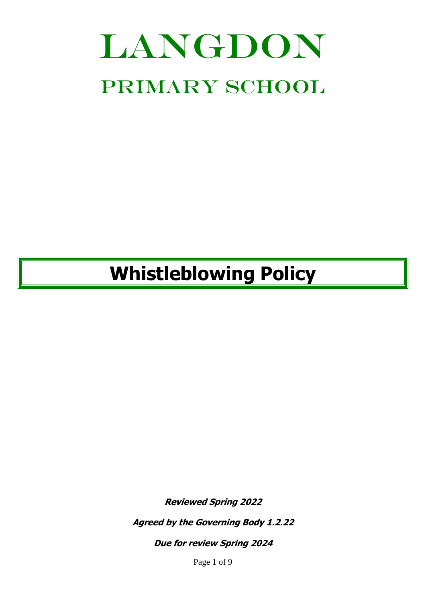# LANGDON PRIMARY SCHOOL

# **Whistleblowing Policy**

**Reviewed Spring 2022**

**Agreed by the Governing Body 1.2.22**

**Due for review Spring 2024**

Page 1 of 9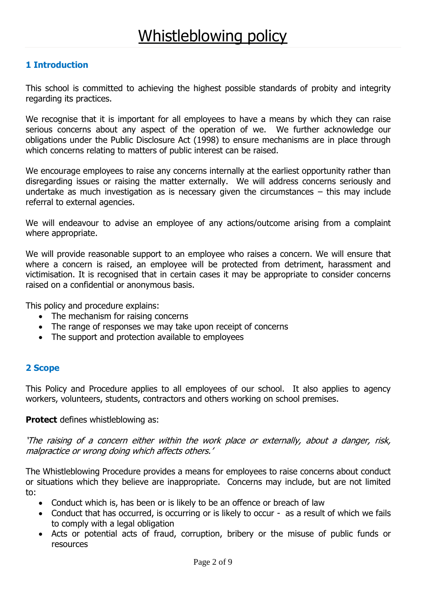# **1 Introduction**

This school is committed to achieving the highest possible standards of probity and integrity regarding its practices.

We recognise that it is important for all employees to have a means by which they can raise serious concerns about any aspect of the operation of we. We further acknowledge our obligations under the Public Disclosure Act (1998) to ensure mechanisms are in place through which concerns relating to matters of public interest can be raised.

We encourage employees to raise any concerns internally at the earliest opportunity rather than disregarding issues or raising the matter externally. We will address concerns seriously and undertake as much investigation as is necessary given the circumstances – this may include referral to external agencies.

We will endeavour to advise an employee of any actions/outcome arising from a complaint where appropriate.

We will provide reasonable support to an employee who raises a concern. We will ensure that where a concern is raised, an employee will be protected from detriment, harassment and victimisation. It is recognised that in certain cases it may be appropriate to consider concerns raised on a confidential or anonymous basis.

This policy and procedure explains:

- The mechanism for raising concerns
- The range of responses we may take upon receipt of concerns
- The support and protection available to employees

# **2 Scope**

This Policy and Procedure applies to all employees of our school. It also applies to agency workers, volunteers, students, contractors and others working on school premises.

#### **Protect** defines whistleblowing as:

'The raising of a concern either within the work place or externally, about a danger, risk, malpractice or wrong doing which affects others.'

The Whistleblowing Procedure provides a means for employees to raise concerns about conduct or situations which they believe are inappropriate. Concerns may include, but are not limited to:

- Conduct which is, has been or is likely to be an offence or breach of law
- Conduct that has occurred, is occurring or is likely to occur as a result of which we fails to comply with a legal obligation
- Acts or potential acts of fraud, corruption, bribery or the misuse of public funds or resources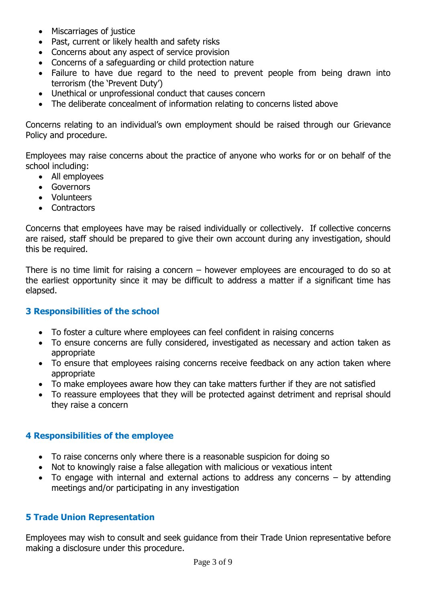- Miscarriages of justice
- Past, current or likely health and safety risks
- Concerns about any aspect of service provision
- Concerns of a safeguarding or child protection nature
- Failure to have due regard to the need to prevent people from being drawn into terrorism (the 'Prevent Duty')
- Unethical or unprofessional conduct that causes concern
- The deliberate concealment of information relating to concerns listed above

Concerns relating to an individual's own employment should be raised through our Grievance Policy and procedure.

Employees may raise concerns about the practice of anyone who works for or on behalf of the school including:

- All employees
- Governors
- Volunteers
- Contractors

Concerns that employees have may be raised individually or collectively. If collective concerns are raised, staff should be prepared to give their own account during any investigation, should this be required.

There is no time limit for raising a concern – however employees are encouraged to do so at the earliest opportunity since it may be difficult to address a matter if a significant time has elapsed.

# **3 Responsibilities of the school**

- To foster a culture where employees can feel confident in raising concerns
- To ensure concerns are fully considered, investigated as necessary and action taken as appropriate
- To ensure that employees raising concerns receive feedback on any action taken where appropriate
- To make employees aware how they can take matters further if they are not satisfied
- To reassure employees that they will be protected against detriment and reprisal should they raise a concern

# **4 Responsibilities of the employee**

- To raise concerns only where there is a reasonable suspicion for doing so
- Not to knowingly raise a false allegation with malicious or vexatious intent
- To engage with internal and external actions to address any concerns by attending meetings and/or participating in any investigation

# **5 Trade Union Representation**

Employees may wish to consult and seek guidance from their Trade Union representative before making a disclosure under this procedure.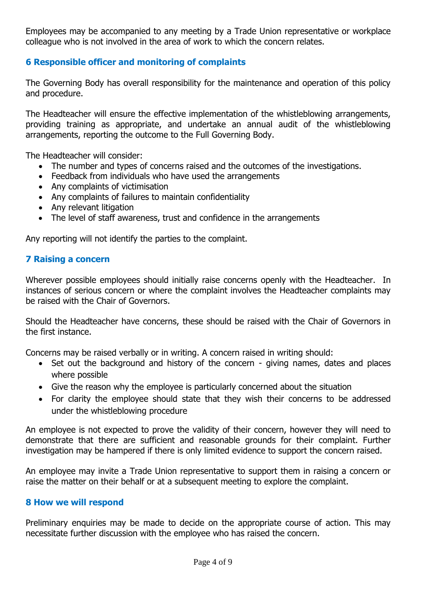Employees may be accompanied to any meeting by a Trade Union representative or workplace colleague who is not involved in the area of work to which the concern relates.

# **6 Responsible officer and monitoring of complaints**

The Governing Body has overall responsibility for the maintenance and operation of this policy and procedure.

The Headteacher will ensure the effective implementation of the whistleblowing arrangements, providing training as appropriate, and undertake an annual audit of the whistleblowing arrangements, reporting the outcome to the Full Governing Body.

The Headteacher will consider:

- The number and types of concerns raised and the outcomes of the investigations.
- Feedback from individuals who have used the arrangements
- Any complaints of victimisation
- Any complaints of failures to maintain confidentiality
- Any relevant litigation
- The level of staff awareness, trust and confidence in the arrangements

Any reporting will not identify the parties to the complaint.

# **7 Raising a concern**

Wherever possible employees should initially raise concerns openly with the Headteacher. In instances of serious concern or where the complaint involves the Headteacher complaints may be raised with the Chair of Governors.

Should the Headteacher have concerns, these should be raised with the Chair of Governors in the first instance.

Concerns may be raised verbally or in writing. A concern raised in writing should:

- Set out the background and history of the concern giving names, dates and places where possible
- Give the reason why the employee is particularly concerned about the situation
- For clarity the employee should state that they wish their concerns to be addressed under the whistleblowing procedure

An employee is not expected to prove the validity of their concern, however they will need to demonstrate that there are sufficient and reasonable grounds for their complaint. Further investigation may be hampered if there is only limited evidence to support the concern raised.

An employee may invite a Trade Union representative to support them in raising a concern or raise the matter on their behalf or at a subsequent meeting to explore the complaint.

# **8 How we will respond**

Preliminary enquiries may be made to decide on the appropriate course of action. This may necessitate further discussion with the employee who has raised the concern.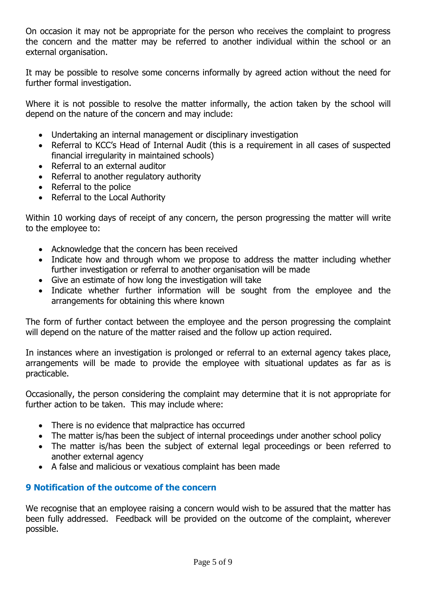On occasion it may not be appropriate for the person who receives the complaint to progress the concern and the matter may be referred to another individual within the school or an external organisation.

It may be possible to resolve some concerns informally by agreed action without the need for further formal investigation.

Where it is not possible to resolve the matter informally, the action taken by the school will depend on the nature of the concern and may include:

- Undertaking an internal management or disciplinary investigation
- Referral to KCC's Head of Internal Audit (this is a requirement in all cases of suspected financial irregularity in maintained schools)
- Referral to an external auditor
- Referral to another regulatory authority
- Referral to the police
- Referral to the Local Authority

Within 10 working days of receipt of any concern, the person progressing the matter will write to the employee to:

- Acknowledge that the concern has been received
- Indicate how and through whom we propose to address the matter including whether further investigation or referral to another organisation will be made
- Give an estimate of how long the investigation will take
- Indicate whether further information will be sought from the employee and the arrangements for obtaining this where known

The form of further contact between the employee and the person progressing the complaint will depend on the nature of the matter raised and the follow up action required.

In instances where an investigation is prolonged or referral to an external agency takes place, arrangements will be made to provide the employee with situational updates as far as is practicable.

Occasionally, the person considering the complaint may determine that it is not appropriate for further action to be taken. This may include where:

- There is no evidence that malpractice has occurred
- The matter is/has been the subject of internal proceedings under another school policy
- The matter is/has been the subject of external legal proceedings or been referred to another external agency
- A false and malicious or vexatious complaint has been made

# **9 Notification of the outcome of the concern**

We recognise that an employee raising a concern would wish to be assured that the matter has been fully addressed. Feedback will be provided on the outcome of the complaint, wherever possible.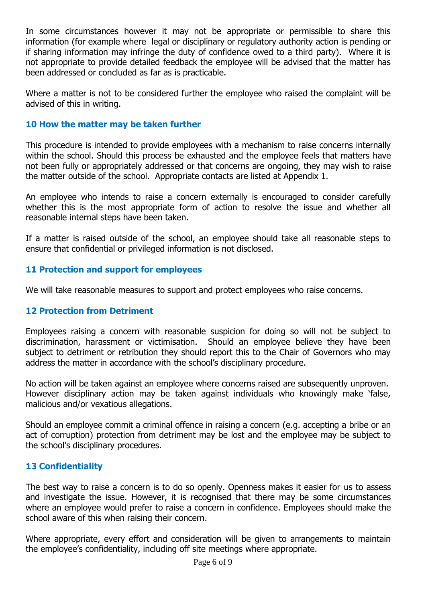In some circumstances however it may not be appropriate or permissible to share this information (for example where legal or disciplinary or regulatory authority action is pending or if sharing information may infringe the duty of confidence owed to a third party). Where it is not appropriate to provide detailed feedback the employee will be advised that the matter has been addressed or concluded as far as is practicable.

Where a matter is not to be considered further the employee who raised the complaint will be advised of this in writing.

# **10 How the matter may be taken further**

This procedure is intended to provide employees with a mechanism to raise concerns internally within the school. Should this process be exhausted and the employee feels that matters have not been fully or appropriately addressed or that concerns are ongoing, they may wish to raise the matter outside of the school. Appropriate contacts are listed at Appendix 1.

An employee who intends to raise a concern externally is encouraged to consider carefully whether this is the most appropriate form of action to resolve the issue and whether all reasonable internal steps have been taken.

If a matter is raised outside of the school, an employee should take all reasonable steps to ensure that confidential or privileged information is not disclosed.

# **11 Protection and support for employees**

We will take reasonable measures to support and protect employees who raise concerns.

# **12 Protection from Detriment**

Employees raising a concern with reasonable suspicion for doing so will not be subject to discrimination, harassment or victimisation. Should an employee believe they have been subject to detriment or retribution they should report this to the Chair of Governors who may address the matter in accordance with the school's disciplinary procedure.

No action will be taken against an employee where concerns raised are subsequently unproven. However disciplinary action may be taken against individuals who knowingly make 'false, malicious and/or vexatious allegations.

Should an employee commit a criminal offence in raising a concern (e.g. accepting a bribe or an act of corruption) protection from detriment may be lost and the employee may be subject to the school's disciplinary procedures.

# **13 Confidentiality**

The best way to raise a concern is to do so openly. Openness makes it easier for us to assess and investigate the issue. However, it is recognised that there may be some circumstances where an employee would prefer to raise a concern in confidence. Employees should make the school aware of this when raising their concern.

Where appropriate, every effort and consideration will be given to arrangements to maintain the employee's confidentiality, including off site meetings where appropriate.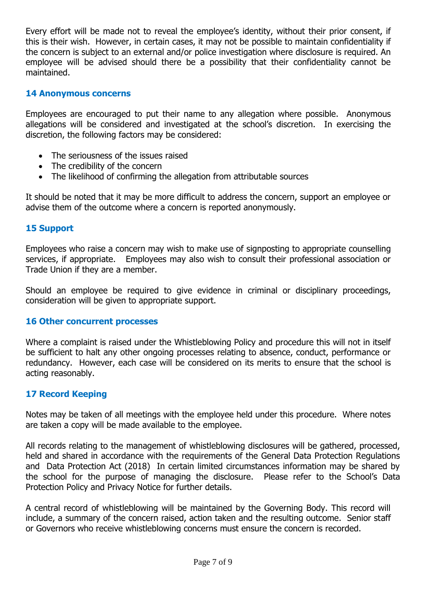Every effort will be made not to reveal the employee's identity, without their prior consent, if this is their wish. However, in certain cases, it may not be possible to maintain confidentiality if the concern is subject to an external and/or police investigation where disclosure is required. An employee will be advised should there be a possibility that their confidentiality cannot be maintained.

#### **14 Anonymous concerns**

Employees are encouraged to put their name to any allegation where possible. Anonymous allegations will be considered and investigated at the school's discretion. In exercising the discretion, the following factors may be considered:

- The seriousness of the issues raised
- The credibility of the concern
- The likelihood of confirming the allegation from attributable sources

It should be noted that it may be more difficult to address the concern, support an employee or advise them of the outcome where a concern is reported anonymously.

#### **15 Support**

Employees who raise a concern may wish to make use of signposting to appropriate counselling services, if appropriate. Employees may also wish to consult their professional association or Trade Union if they are a member.

Should an employee be required to give evidence in criminal or disciplinary proceedings, consideration will be given to appropriate support.

#### **16 Other concurrent processes**

Where a complaint is raised under the Whistleblowing Policy and procedure this will not in itself be sufficient to halt any other ongoing processes relating to absence, conduct, performance or redundancy. However, each case will be considered on its merits to ensure that the school is acting reasonably.

# **17 Record Keeping**

Notes may be taken of all meetings with the employee held under this procedure. Where notes are taken a copy will be made available to the employee.

All records relating to the management of whistleblowing disclosures will be gathered, processed, held and shared in accordance with the requirements of the General Data Protection Regulations and Data Protection Act (2018) In certain limited circumstances information may be shared by the school for the purpose of managing the disclosure. Please refer to the School's Data Protection Policy and Privacy Notice for further details.

A central record of whistleblowing will be maintained by the Governing Body. This record will include, a summary of the concern raised, action taken and the resulting outcome. Senior staff or Governors who receive whistleblowing concerns must ensure the concern is recorded.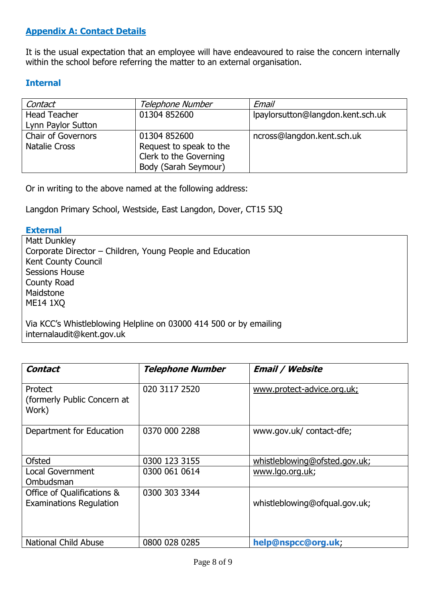# **Appendix A: Contact Details**

It is the usual expectation that an employee will have endeavoured to raise the concern internally within the school before referring the matter to an external organisation.

# **Internal**

| Contact                   | Telephone Number        | Email                             |
|---------------------------|-------------------------|-----------------------------------|
| <b>Head Teacher</b>       | 01304 852600            | lpaylorsutton@langdon.kent.sch.uk |
| Lynn Paylor Sutton        |                         |                                   |
| <b>Chair of Governors</b> | 01304 852600            | ncross@langdon.kent.sch.uk        |
| <b>Natalie Cross</b>      | Request to speak to the |                                   |
|                           | Clerk to the Governing  |                                   |
|                           | Body (Sarah Seymour)    |                                   |

Or in writing to the above named at the following address:

Langdon Primary School, Westside, East Langdon, Dover, CT15 5JQ

#### **External**

Matt Dunkley Corporate Director – Children, Young People and Education Kent County Council Sessions House County Road Maidstone ME14 1XQ

Via KCC's Whistleblowing Helpline on 03000 414 500 or by emailing internalaudit@kent.gov.uk

| Contact                                                      | <b>Telephone Number</b> | <b>Email / Website</b>        |
|--------------------------------------------------------------|-------------------------|-------------------------------|
| Protect<br>(formerly Public Concern at<br>Work)              | 020 3117 2520           | www.protect-advice.org.uk;    |
| Department for Education                                     | 0370 000 2288           | www.gov.uk/contact-dfe;       |
| <b>Ofsted</b>                                                | 0300 123 3155           | whistleblowing@ofsted.gov.uk; |
| <b>Local Government</b><br>Ombudsman                         | 0300 061 0614           | www.lgo.org.uk;               |
| Office of Qualifications &<br><b>Examinations Regulation</b> | 0300 303 3344           | whistleblowing@ofqual.gov.uk; |
| <b>National Child Abuse</b>                                  | 0800 028 0285           | help@nspcc@org.uk;            |